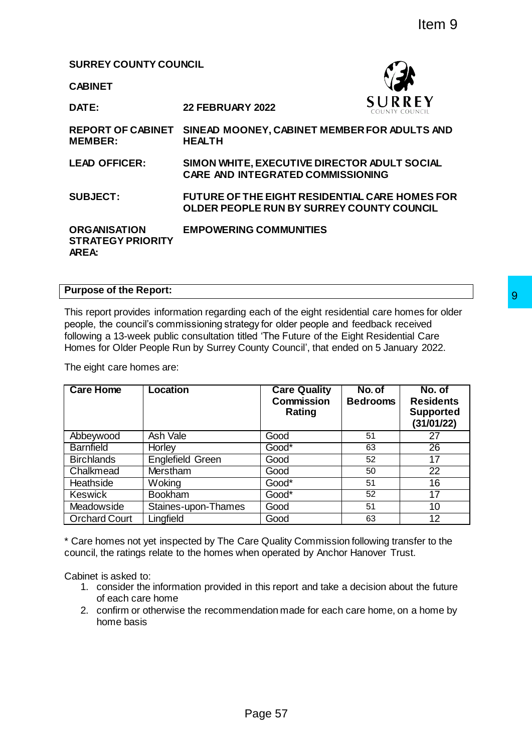### **SURREY COUNTY COUNCIL**

**DATE: 22 FEBRUARY 2022**

**CABINET**



**REPORT OF CABINET SINEAD MOONEY, CABINET MEMBER FOR ADULTS AND MEMBER: HEALTH LEAD OFFICER: SIMON WHITE, EXECUTIVE DIRECTOR ADULT SOCIAL CARE AND INTEGRATED COMMISSIONING SUBJECT: FUTURE OF THE EIGHT RESIDENTIAL CARE HOMES FOR OLDER PEOPLE RUN BY SURREY COUNTY COUNCIL ORGANISATION STRATEGY PRIORITY AREA: EMPOWERING COMMUNITIES**

# **Purpose of the Report:**

| <b>Care Home</b>     | <b>Location</b>                                                                                                                                                            | <b>Care Quality</b><br><b>Commission</b><br>Rating                                       | No. of<br><b>Bedrooms</b> | No. of<br><b>Residents</b><br><b>Supported</b><br>(31/01/22) |
|----------------------|----------------------------------------------------------------------------------------------------------------------------------------------------------------------------|------------------------------------------------------------------------------------------|---------------------------|--------------------------------------------------------------|
| Abbeywood            | Ash Vale                                                                                                                                                                   | Good                                                                                     | 51                        | 27                                                           |
| <b>Barnfield</b>     | <b>Horley</b>                                                                                                                                                              | Good*                                                                                    | 63                        | 26                                                           |
| <b>Birchlands</b>    | <b>Englefield Green</b>                                                                                                                                                    | Good                                                                                     | 52                        | 17                                                           |
| Chalkmead            | Merstham                                                                                                                                                                   | Good                                                                                     | 50                        | $\overline{22}$                                              |
| Heathside            | Woking                                                                                                                                                                     | Good*                                                                                    | 51                        | 16                                                           |
| <b>Keswick</b>       | <b>Bookham</b>                                                                                                                                                             | Good*                                                                                    | 52                        | 17                                                           |
| Meadowside           | Staines-upon-Thames                                                                                                                                                        | Good                                                                                     | 51                        | 10                                                           |
| <b>Orchard Court</b> | Lingfield                                                                                                                                                                  | Good                                                                                     | 63                        | $\overline{12}$                                              |
| Cabinet is asked to: | * Care homes not yet inspected by The Care Quality Commission following transfer to the<br>council, the ratings relate to the homes when operated by Anchor Hanover Trust. | 1. consider the information provided in this report and take a decision about the future |                           |                                                              |

- 1. consider the information provided in this report and take a decision about the future of each care home
- 2. confirm or otherwise the recommendation made for each care home, on a home by home basis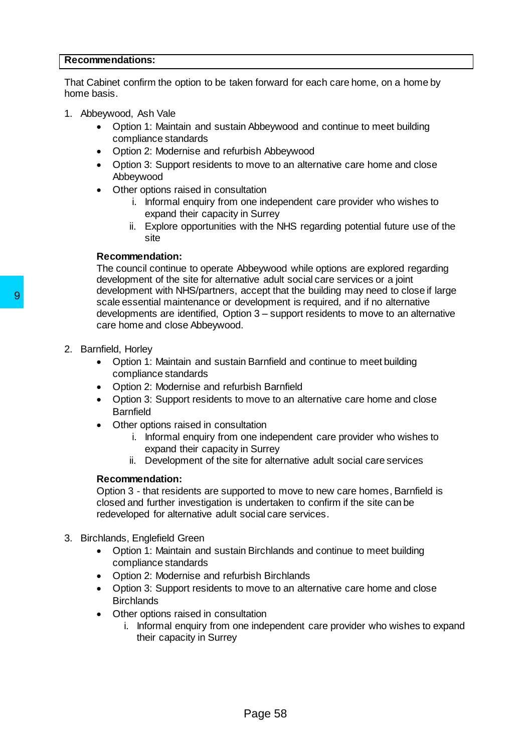### **Recommendations:**

That Cabinet confirm the option to be taken forward for each care home, on a home by home basis.

- 1. Abbeywood, Ash Vale
	- Option 1: Maintain and sustain Abbeywood and continue to meet building compliance standards
	- Option 2: Modernise and refurbish Abbeywood
	- Option 3: Support residents to move to an alternative care home and close Abbeywood
	- Other options raised in consultation
		- i. Informal enquiry from one independent care provider who wishes to expand their capacity in Surrey
		- ii. Explore opportunities with the NHS regarding potential future use of the site

#### **Recommendation:**

The council continue to operate Abbeywood while options are explored regarding development of the site for alternative adult social care services or a joint development with NHS/partners, accept that the building may need to close if large scale essential maintenance or development is required, and if no alternative developments are identified, Option 3 – support residents to move to an alternative care home and close Abbeywood. State essential maintenance or development<br>scale essential maintenance or development<br>developments are identified, Option 3 – sup-<br>care home and close Abbeywood.<br>2. Barnfield<br>•• Option 1: Maintain and sustain Barnfield<br>••

- 2. Barnfield, Horley
	- Option 1: Maintain and sustain Barnfield and continue to meet building compliance standards
	- Option 2: Modernise and refurbish Barnfield
	- Option 3: Support residents to move to an alternative care home and close Barnfield
	- Other options raised in consultation
		- i. Informal enquiry from one independent care provider who wishes to expand their capacity in Surrey
		- ii. Development of the site for alternative adult social care services

#### **Recommendation:**

Option 3 - that residents are supported to move to new care homes, Barnfield is closed and further investigation is undertaken to confirm if the site can be redeveloped for alternative adult social care services.

- 3. Birchlands, Englefield Green
	- Option 1: Maintain and sustain Birchlands and continue to meet building compliance standards
	- Option 2: Modernise and refurbish Birchlands
	- Option 3: Support residents to move to an alternative care home and close **Birchlands**
	- Other options raised in consultation
		- i. Informal enquiry from one independent care provider who wishes to expand their capacity in Surrey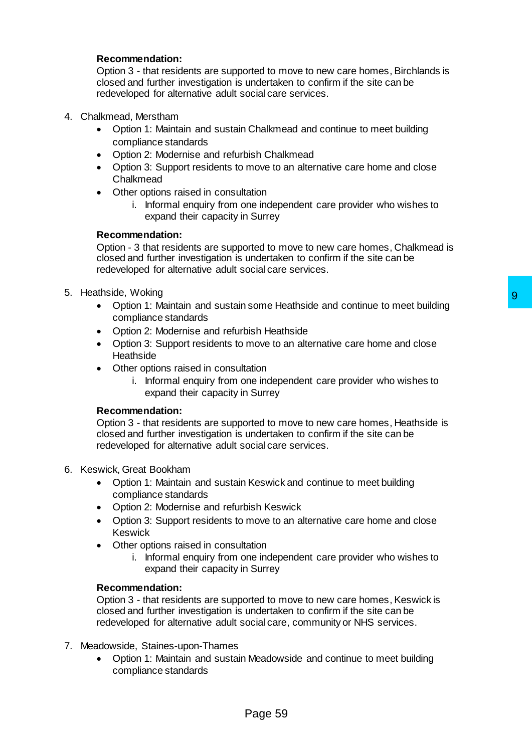Option 3 - that residents are supported to move to new care homes, Birchlands is closed and further investigation is undertaken to confirm if the site can be redeveloped for alternative adult social care services.

- 4. Chalkmead, Merstham
	- Option 1: Maintain and sustain Chalkmead and continue to meet building compliance standards
	- Option 2: Modernise and refurbish Chalkmead
	- Option 3: Support residents to move to an alternative care home and close Chalkmead
	- Other options raised in consultation
		- i. Informal enquiry from one independent care provider who wishes to expand their capacity in Surrey

## **Recommendation:**

Option - 3 that residents are supported to move to new care homes, Chalkmead is closed and further investigation is undertaken to confirm if the site can be redeveloped for alternative adult social care services.

- 5. Heathside, Woking
	- Option 1: Maintain and sustain some Heathside and continue to meet building compliance standards
	- Option 2: Modernise and refurbish Heathside
	- Option 3: Support residents to move to an alternative care home and close **Heathside**
	- Other options raised in consultation
		- i. Informal enquiry from one independent care provider who wishes to expand their capacity in Surrey

# **Recommendation:**

Option 3 - that residents are supported to move to new care homes, Heathside is closed and further investigation is undertaken to confirm if the site can be redeveloped for alternative adult social care services. If some Heathside and continue to meet building<br>
bish Heathside<br>
move to an alternative care home and close<br>
alternove to an alternative care homes, Heathside is<br>
no independent care provider who wishes to<br>
n Surrey<br>
orted

- 6. Keswick, Great Bookham
	- Option 1: Maintain and sustain Keswick and continue to meet building compliance standards
	- Option 2: Modernise and refurbish Keswick
	- Option 3: Support residents to move to an alternative care home and close Keswick
	- Other options raised in consultation
		- i. Informal enquiry from one independent care provider who wishes to expand their capacity in Surrey

## **Recommendation:**

Option 3 - that residents are supported to move to new care homes, Keswick is closed and further investigation is undertaken to confirm if the site can be redeveloped for alternative adult social care, community or NHS services.

- 7. Meadowside, Staines-upon-Thames
	- Option 1: Maintain and sustain Meadowside and continue to meet building compliance standards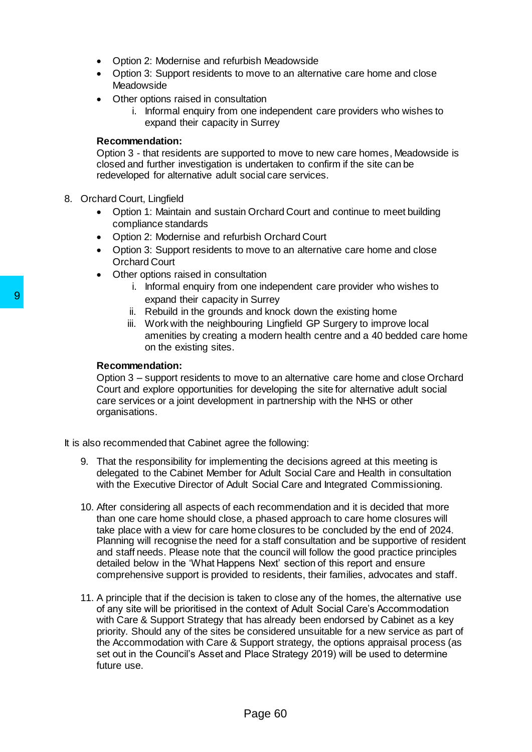- Option 2: Modernise and refurbish Meadowside
- Option 3: Support residents to move to an alternative care home and close **Meadowside**
- Other options raised in consultation
	- i. Informal enquiry from one independent care providers who wishes to expand their capacity in Surrey

# **Recommendation:**

Option 3 - that residents are supported to move to new care homes, Meadowside is closed and further investigation is undertaken to confirm if the site can be redeveloped for alternative adult social care services.

- 8. Orchard Court, Lingfield
	- Option 1: Maintain and sustain Orchard Court and continue to meet building compliance standards
	- Option 2: Modernise and refurbish Orchard Court
	- Option 3: Support residents to move to an alternative care home and close Orchard Court
	- Other options raised in consultation
		- i. Informal enquiry from one independent care provider who wishes to expand their capacity in Surrey
		- ii. Rebuild in the grounds and knock down the existing home
		- iii. Work with the neighbouring Lingfield GP Surgery to improve local amenities by creating a modern health centre and a 40 bedded care home on the existing sites.

## **Recommendation:**

Option 3 – support residents to move to an alternative care home and close Orchard Court and explore opportunities for developing the site for alternative adult social care services or a joint development in partnership with the NHS or other organisations.

It is also recommended that Cabinet agree the following:

- 9. That the responsibility for implementing the decisions agreed at this meeting is delegated to the Cabinet Member for Adult Social Care and Health in consultation with the Executive Director of Adult Social Care and Integrated Commissioning.
- 10. After considering all aspects of each recommendation and it is decided that more than one care home should close, a phased approach to care home closures will take place with a view for care home closures to be concluded by the end of 2024. Planning will recognise the need for a staff consultation and be supportive of resident and staff needs. Please note that the council will follow the good practice principles detailed below in the 'What Happens Next' section of this report and ensure comprehensive support is provided to residents, their families, advocates and staff. expand their capacity in Surrey<br>
ii. Rebuild in the grounds and knock<br>
iii. Work with the neighbouring Ling<br>
amentities by creating a modern l<br>
on the existing sites.<br> **Recommendation:**<br> **Page 60 9 9 9 9 9 9 9 9 9 9 9 9 9** 
	- 11. A principle that if the decision is taken to close any of the homes, the alternative use of any site will be prioritised in the context of Adult Social Care's Accommodation with Care & Support Strategy that has already been endorsed by Cabinet as a key priority. Should any of the sites be considered unsuitable for a new service as part of the Accommodation with Care & Support strategy, the options appraisal process (as set out in the Council's Asset and Place Strategy 2019) will be used to determine future use.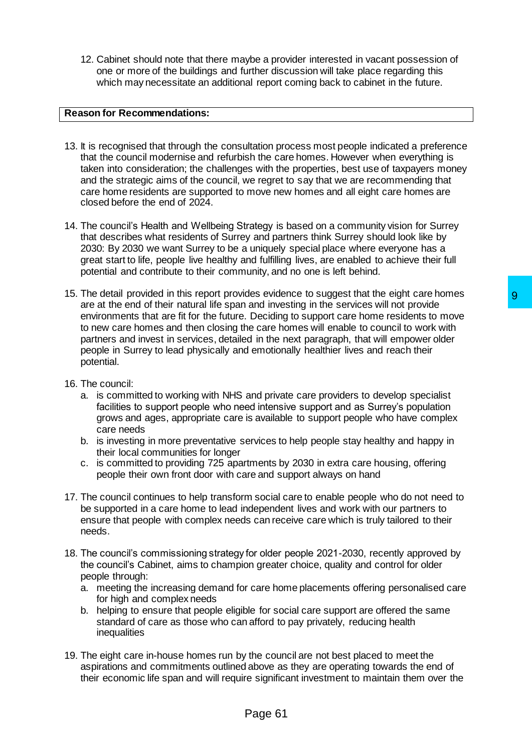12. Cabinet should note that there maybe a provider interested in vacant possession of one or more of the buildings and further discussion will take place regarding this which may necessitate an additional report coming back to cabinet in the future.

## **Reason for Recommendations:**

- 13. It is recognised that through the consultation process most people indicated a preference that the council modernise and refurbish the care homes. However when everything is taken into consideration; the challenges with the properties, best use of taxpayers money and the strategic aims of the council, we regret to say that we are recommending that care home residents are supported to move new homes and all eight care homes are closed before the end of 2024.
- 14. The council's Health and Wellbeing Strategy is based on a community vision for Surrey that describes what residents of Surrey and partners think Surrey should look like by 2030: By 2030 we want Surrey to be a uniquely special place where everyone has a great start to life, people live healthy and fulfilling lives, are enabled to achieve their full potential and contribute to their community, and no one is left behind.
- 15. The detail provided in this report provides evidence to suggest that the eight care homes are at the end of their natural life span and investing in the services will not provide environments that are fit for the future. Deciding to support care home residents to move to new care homes and then closing the care homes will enable to council to work with partners and invest in services, detailed in the next paragraph, that will empower older people in Surrey to lead physically and emotionally healthier lives and reach their potential. des evidence to suggest that the eight care nones and investing in the services will not provide<br>and investing in the services will not provide<br>D. Deciding to support care home residents to move<br>be care homes will enable t
- 16. The council:
	- a. is committed to working with NHS and private care providers to develop specialist facilities to support people who need intensive support and as Surrey's population grows and ages, appropriate care is available to support people who have complex care needs
	- b. is investing in more preventative services to help people stay healthy and happy in their local communities for longer
	- c. is committed to providing 725 apartments by 2030 in extra care housing, offering people their own front door with care and support always on hand
- 17. The council continues to help transform social care to enable people who do not need to be supported in a care home to lead independent lives and work with our partners to ensure that people with complex needs can receive care which is truly tailored to their needs.
- 18. The council's commissioning strategy for older people 2021-2030, recently approved by the council's Cabinet, aims to champion greater choice, quality and control for older people through:
	- a. meeting the increasing demand for care home placements offering personalised care for high and complex needs
	- b. helping to ensure that people eligible for social care support are offered the same standard of care as those who can afford to pay privately, reducing health inequalities
- 19. The eight care in-house homes run by the council are not best placed to meet the aspirations and commitments outlined above as they are operating towards the end of their economic life span and will require significant investment to maintain them over the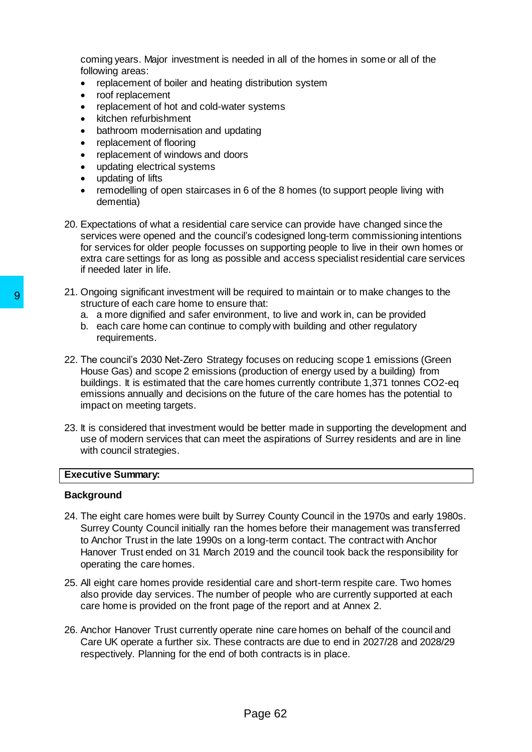coming years. Major investment is needed in all of the homes in some or all of the following areas:

- replacement of boiler and heating distribution system<br>• roof replacement
- roof replacement
- replacement of hot and cold-water systems
- kitchen refurbishment
- bathroom modernisation and updating
- replacement of flooring
- replacement of windows and doors
- updating electrical systems
- updating of lifts
- remodelling of open staircases in 6 of the 8 homes (to support people living with dementia)
- 20. Expectations of what a residential care service can provide have changed since the services were opened and the council's codesigned long-term commissioning intentions for services for older people focusses on supporting people to live in their own homes or extra care settings for as long as possible and access specialist residential care services if needed later in life.
- 21. Ongoing significant investment will be required to maintain or to make changes to the structure of each care home to ensure that:
	- a. a more dignified and safer environment, to live and work in, can be provided
	- b. each care home can continue to comply with building and other regulatory requirements.
- 22. The council's 2030 Net-Zero Strategy focuses on reducing scope 1 emissions (Green House Gas) and scope 2 emissions (production of energy used by a building) from buildings. It is estimated that the care homes currently contribute 1,371 tonnes CO2-eq emissions annually and decisions on the future of the care homes has the potential to impact on meeting targets.
- 23. It is considered that investment would be better made in supporting the development and use of modern services that can meet the aspirations of Surrey residents and are in line with council strategies.

## **Executive Summary:**

## **Background**

- 24. The eight care homes were built by Surrey County Council in the 1970s and early 1980s. Surrey County Council initially ran the homes before their management was transferred to Anchor Trust in the late 1990s on a long-term contact. The contract with Anchor Hanover Trust ended on 31 March 2019 and the council took back the responsibility for operating the care homes. Structure of each care home to ensure required<br>structure of each care home to ensure that:<br>a. a more dignified and safer environment, to ib.<br>b. each care home can continue to comply with<br>requirements.<br>Page 62 9 9 9 9 9 9 9
	- 25. All eight care homes provide residential care and short-term respite care. Two homes also provide day services. The number of people who are currently supported at each care home is provided on the front page of the report and at Annex 2.
	- 26. Anchor Hanover Trust currently operate nine care homes on behalf of the council and Care UK operate a further six. These contracts are due to end in 2027/28 and 2028/29 respectively. Planning for the end of both contracts is in place.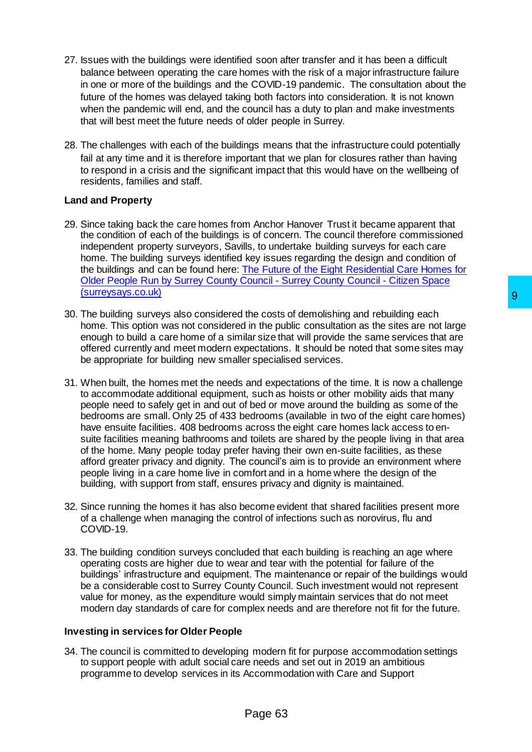- 27. Issues with the buildings were identified soon after transfer and it has been a difficult balance between operating the care homes with the risk of a major infrastructure failure in one or more of the buildings and the COVID-19 pandemic. The consultation about the future of the homes was delayed taking both factors into consideration. It is not known when the pandemic will end, and the council has a duty to plan and make investments that will best meet the future needs of older people in Surrey.
- 28. The challenges with each of the buildings means that the infrastructure could potentially fail at any time and it is therefore important that we plan for closures rather than having to respond in a crisis and the significant impact that this would have on the wellbeing of residents, families and staff.

# **Land and Property**

- 29. Since taking back the care homes from Anchor Hanover Trust it became apparent that the condition of each of the buildings is of concern. The council therefore commissioned independent property surveyors, Savills, to undertake building surveys for each care home. The building surveys identified key issues regarding the design and condition of the buildings and can be found here: [The Future of the Eight Residential Care Homes for](https://www.surreysays.co.uk/adult-social-care-and-public-health/op-draft/)  [Older People Run by Surrey County Council -](https://www.surreysays.co.uk/adult-social-care-and-public-health/op-draft/) Surrey County Council - Citizen Space [\(surreysays.co.uk\)](https://www.surreysays.co.uk/adult-social-care-and-public-health/op-draft/)
- 30. The building surveys also considered the costs of demolishing and rebuilding each home. This option was not considered in the public consultation as the sites are not large enough to build a care home of a similar size that will provide the same services that are offered currently and meet modern expectations. It should be noted that some sites may be appropriate for building new smaller specialised services.
- 31. When built, the homes met the needs and expectations of the time. It is now a challenge to accommodate additional equipment, such as hoists or other mobility aids that many people need to safely get in and out of bed or move around the building as some of the bedrooms are small. Only 25 of 433 bedrooms (available in two of the eight care homes) have ensuite facilities. 408 bedrooms across the eight care homes lack access to ensuite facilities meaning bathrooms and toilets are shared by the people living in that area of the home. Many people today prefer having their own en-suite facilities, as these afford greater privacy and dignity. The council's aim is to provide an environment where people living in a care home live in comfort and in a home where the design of the building, with support from staff, ensures privacy and dignity is maintained. <sup>9</sup><br>the costs of demolishing and rebuilding each<br>in the public consultation as the sites are not large<br>lar size that will provide the same services that are<br>pectations. It should be noted that some sites may<br>er specialised
- 32. Since running the homes it has also become evident that shared facilities present more of a challenge when managing the control of infections such as norovirus, flu and COVID-19.
- 33. The building condition surveys concluded that each building is reaching an age where operating costs are higher due to wear and tear with the potential for failure of the buildings' infrastructure and equipment. The maintenance or repair of the buildings would be a considerable cost to Surrey County Council. Such investment would not represent value for money, as the expenditure would simply maintain services that do not meet modern day standards of care for complex needs and are therefore not fit for the future.

## **Investing in services for Older People**

34. The council is committed to developing modern fit for purpose accommodation settings to support people with adult social care needs and set out in 2019 an ambitious programme to develop services in its Accommodation with Care and Support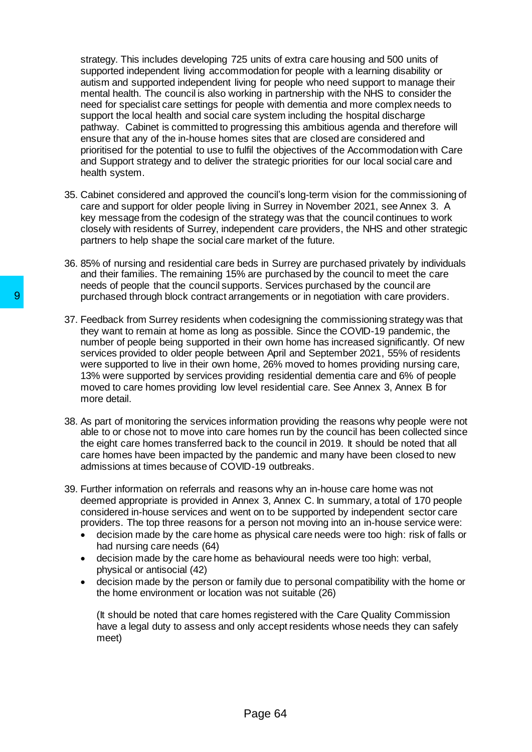strategy. This includes developing 725 units of extra care housing and 500 units of supported independent living accommodation for people with a learning disability or autism and supported independent living for people who need support to manage their mental health. The council is also working in partnership with the NHS to consider the need for specialist care settings for people with dementia and more complex needs to support the local health and social care system including the hospital discharge pathway. Cabinet is committed to progressing this ambitious agenda and therefore will ensure that any of the in-house homes sites that are closed are considered and prioritised for the potential to use to fulfil the objectives of the Accommodation with Care and Support strategy and to deliver the strategic priorities for our local social care and health system.

- 35. Cabinet considered and approved the council's long-term vision for the commissioning of care and support for older people living in Surrey in November 2021, see Annex 3. A key message from the codesign of the strategy was that the council continues to work closely with residents of Surrey, independent care providers, the NHS and other strategic partners to help shape the social care market of the future.
- 36. 85% of nursing and residential care beds in Surrey are purchased privately by individuals and their families. The remaining 15% are purchased by the council to meet the care needs of people that the council supports. Services purchased by the council are purchased through block contract arrangements or in negotiation with care providers.
- 37. Feedback from Surrey residents when codesigning the commissioning strategy was that they want to remain at home as long as possible. Since the COVID-19 pandemic, the number of people being supported in their own home has increased significantly. Of new services provided to older people between April and September 2021, 55% of residents were supported to live in their own home, 26% moved to homes providing nursing care, 13% were supported by services providing residential dementia care and 6% of people moved to care homes providing low level residential care. See Annex 3, Annex B for more detail. 9<br>
Purchased through block contract arrangements<br>
37. Feedback from Surrey residents when codesign<br>
they want to remain at home as long as possible<br>
number of people being supported in their own<br>
services provided to older
	- 38. As part of monitoring the services information providing the reasons why people were not able to or chose not to move into care homes run by the council has been collected since the eight care homes transferred back to the council in 2019. It should be noted that all care homes have been impacted by the pandemic and many have been closed to new admissions at times because of COVID-19 outbreaks.
	- 39. Further information on referrals and reasons why an in-house care home was not deemed appropriate is provided in Annex 3, Annex C. In summary, a total of 170 people considered in-house services and went on to be supported by independent sector care providers. The top three reasons for a person not moving into an in-house service were:
		- decision made by the care home as physical care needs were too high: risk of falls or had nursing care needs (64)
		- decision made by the care home as behavioural needs were too high: verbal, physical or antisocial (42)
		- decision made by the person or family due to personal compatibility with the home or the home environment or location was not suitable (26)

(It should be noted that care homes registered with the Care Quality Commission have a legal duty to assess and only accept residents whose needs they can safely meet)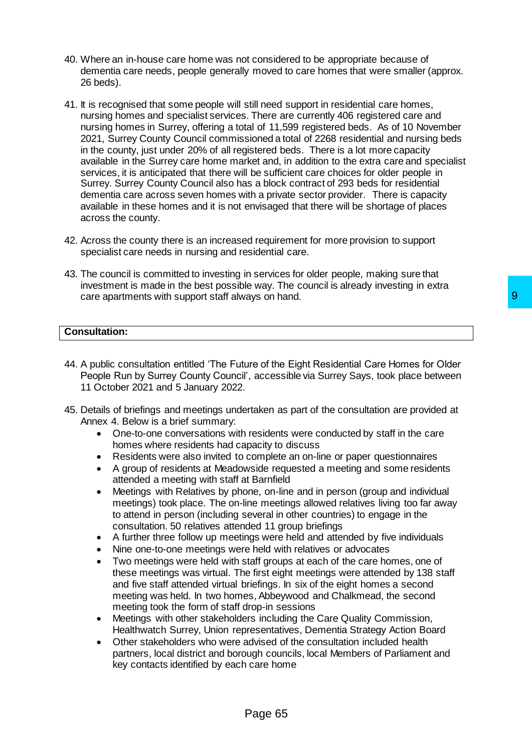- 40. Where an in-house care home was not considered to be appropriate because of dementia care needs, people generally moved to care homes that were smaller (approx. 26 beds).
- 41. It is recognised that some people will still need support in residential care homes, nursing homes and specialist services. There are currently 406 registered care and nursing homes in Surrey, offering a total of 11,599 registered beds. As of 10 November 2021, Surrey County Council commissioned a total of 2268 residential and nursing beds in the county, just under 20% of all registered beds. There is a lot more capacity available in the Surrey care home market and, in addition to the extra care and specialist services, it is anticipated that there will be sufficient care choices for older people in Surrey. Surrey County Council also has a block contract of 293 beds for residential dementia care across seven homes with a private sector provider. There is capacity available in these homes and it is not envisaged that there will be shortage of places across the county.
- 42. Across the county there is an increased requirement for more provision to support specialist care needs in nursing and residential care.
- 43. The council is committed to investing in services for older people, making sure that investment is made in the best possible way. The council is already investing in extra care apartments with support staff always on hand.

### **Consultation:**

- 44. A public consultation entitled 'The Future of the Eight Residential Care Homes for Older People Run by Surrey County Council', accessible via Surrey Says, took place between 11 October 2021 and 5 January 2022.
- 45. Details of briefings and meetings undertaken as part of the consultation are provided at Annex 4. Below is a brief summary:
	- One-to-one conversations with residents were conducted by staff in the care homes where residents had capacity to discuss
	- Residents were also invited to complete an on-line or paper questionnaires
	- A group of residents at Meadowside requested a meeting and some residents attended a meeting with staff at Barnfield
	- Meetings with Relatives by phone, on-line and in person (group and individual meetings) took place. The on-line meetings allowed relatives living too far away to attend in person (including several in other countries) to engage in the consultation. 50 relatives attended 11 group briefings
	- A further three follow up meetings were held and attended by five individuals
	- Nine one-to-one meetings were held with relatives or advocates
- Two meetings were held with staff groups at each of the care homes, one of these meetings was virtual. The first eight meetings were attended by 138 staff and five staff attended virtual briefings. In six of the eight homes a second meeting was held. In two homes, Abbeywood and Chalkmead, the second meeting took the form of staff drop-in sessions ays on hand.<br>
The complete transformation of the Eight Residential Care Homes for Older<br>
The accessible via Surrey Says, took place between<br>
traken as part of the consultation are provided at<br>
residents were conducted by s
	- Meetings with other stakeholders including the Care Quality Commission, Healthwatch Surrey, Union representatives, Dementia Strategy Action Board
	- Other stakeholders who were advised of the consultation included health partners, local district and borough councils, local Members of Parliament and key contacts identified by each care home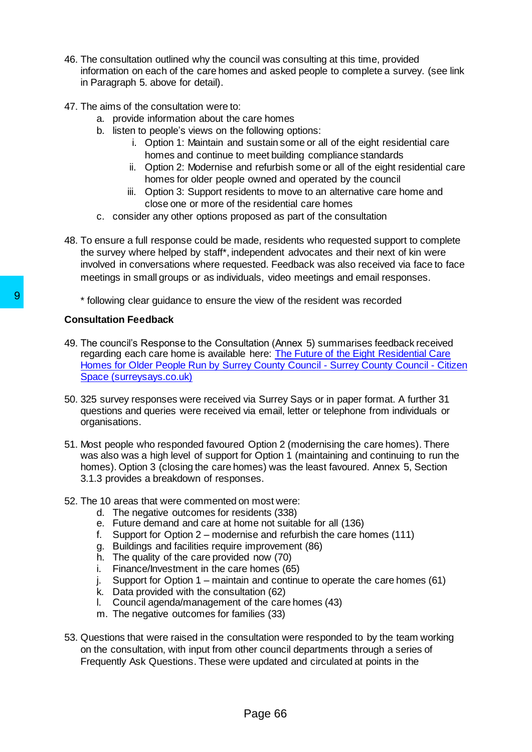- 46. The consultation outlined why the council was consulting at this time, provided information on each of the care homes and asked people to complete a survey. (see link in Paragraph 5. above for detail).
- 47. The aims of the consultation were to:
	- a. provide information about the care homes
	- b. listen to people's views on the following options:
		- i. Option 1: Maintain and sustain some or all of the eight residential care homes and continue to meet building compliance standards
		- ii. Option 2: Modernise and refurbish some or all of the eight residential care homes for older people owned and operated by the council
		- iii. Option 3: Support residents to move to an alternative care home and close one or more of the residential care homes
	- c. consider any other options proposed as part of the consultation
- 48. To ensure a full response could be made, residents who requested support to complete the survey where helped by staff\*, independent advocates and their next of kin were involved in conversations where requested. Feedback was also received via face to face meetings in small groups or as individuals, video meetings and email responses.
	- \* following clear guidance to ensure the view of the resident was recorded

# **Consultation Feedback**

- 49. The council's Response to the Consultation (Annex 5) summarises feedback received regarding each care home is available here: [The Future of the Eight Residential Care](https://www.surreysays.co.uk/adult-social-care-and-public-health/op-draft/)  [Homes for Older People Run by Surrey County Council -](https://www.surreysays.co.uk/adult-social-care-and-public-health/op-draft/) Surrey County Council - Citizen [Space \(surreysays.co.uk\)](https://www.surreysays.co.uk/adult-social-care-and-public-health/op-draft/) <sup>1</sup> following clear guidance to ensure the view of<br>
19 The council's Response to the Consultation (An<br>
19 The council's Response to the Consultation (An<br>
19 Theres for Older People Run by Surrey County<br>
50. 325 survey resp
	- 50. 325 survey responses were received via Surrey Says or in paper format. A further 31 questions and queries were received via email, letter or telephone from individuals or organisations.
	- 51. Most people who responded favoured Option 2 (modernising the care homes). There was also was a high level of support for Option 1 (maintaining and continuing to run the homes). Option 3 (closing the care homes) was the least favoured. Annex 5, Section 3.1.3 provides a breakdown of responses.
	- 52. The 10 areas that were commented on most were:
		- d. The negative outcomes for residents (338)
		- e. Future demand and care at home not suitable for all (136)
		- f. Support for Option 2 modernise and refurbish the care homes (111)
		- g. Buildings and facilities require improvement (86)
		- h. The quality of the care provided now (70)
		- i. Finance/Investment in the care homes (65)
		- j. Support for Option 1 maintain and continue to operate the care homes (61)
		- k. Data provided with the consultation (62)
		- l. Council agenda/management of the care homes (43)
		- m. The negative outcomes for families (33)
	- 53. Questions that were raised in the consultation were responded to by the team working on the consultation, with input from other council departments through a series of Frequently Ask Questions. These were updated and circulated at points in the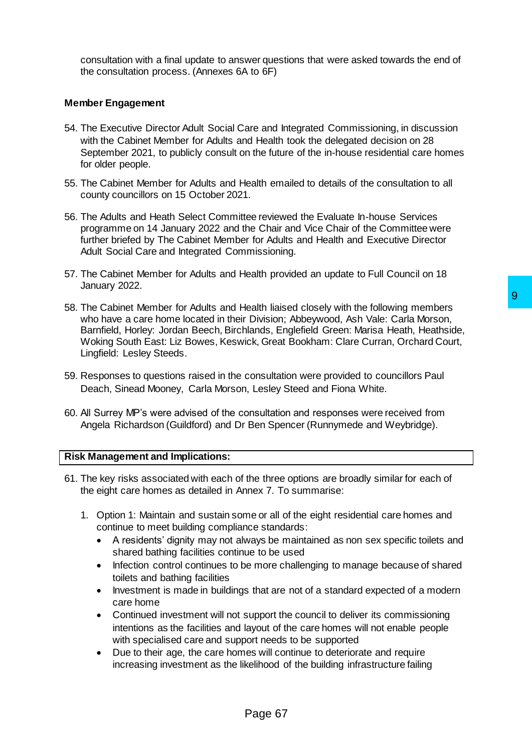consultation with a final update to answer questions that were asked towards the end of the consultation process. (Annexes 6A to 6F)

### **Member Engagement**

- 54. The Executive Director Adult Social Care and Integrated Commissioning, in discussion with the Cabinet Member for Adults and Health took the delegated decision on 28 September 2021, to publicly consult on the future of the in-house residential care homes for older people.
- 55. The Cabinet Member for Adults and Health emailed to details of the consultation to all county councillors on 15 October 2021.
- 56. The Adults and Heath Select Committee reviewed the Evaluate In-house Services programme on 14 January 2022 and the Chair and Vice Chair of the Committee were further briefed by The Cabinet Member for Adults and Health and Executive Director Adult Social Care and Integrated Commissioning.
- 57. The Cabinet Member for Adults and Health provided an update to Full Council on 18 January 2022.
- 58. The Cabinet Member for Adults and Health liaised closely with the following members who have a care home located in their Division; Abbeywood, Ash Vale: Carla Morson, Barnfield, Horley: Jordan Beech, Birchlands, Englefield Green: Marisa Heath, Heathside, Woking South East: Liz Bowes, Keswick, Great Bookham: Clare Curran, Orchard Court, Lingfield: Lesley Steeds. lealth liaised closely with the following members<br>
Division; Abbeywood, Ash Vale: Carla Morson,<br>
Division; Abbeywood, Ash Vale: Carla Morson,<br>
hlands, Englefield Green: Marisa Heath, Heathside,<br>
cick, Great Bookham: Clare
- 59. Responses to questions raised in the consultation were provided to councillors Paul Deach, Sinead Mooney, Carla Morson, Lesley Steed and Fiona White.
- 60. All Surrey MP's were advised of the consultation and responses were received from Angela Richardson (Guildford) and Dr Ben Spencer (Runnymede and Weybridge).

#### **Risk Management and Implications:**

- 61. The key risks associated with each of the three options are broadly similar for each of the eight care homes as detailed in Annex 7. To summarise:
	- 1. Option 1: Maintain and sustain some or all of the eight residential care homes and continue to meet building compliance standards:
		- A residents' dignity may not always be maintained as non sex specific toilets and shared bathing facilities continue to be used
		- Infection control continues to be more challenging to manage because of shared toilets and bathing facilities
		- Investment is made in buildings that are not of a standard expected of a modern care home
		- Continued investment will not support the council to deliver its commissioning intentions as the facilities and layout of the care homes will not enable people with specialised care and support needs to be supported
		- Due to their age, the care homes will continue to deteriorate and require increasing investment as the likelihood of the building infrastructure failing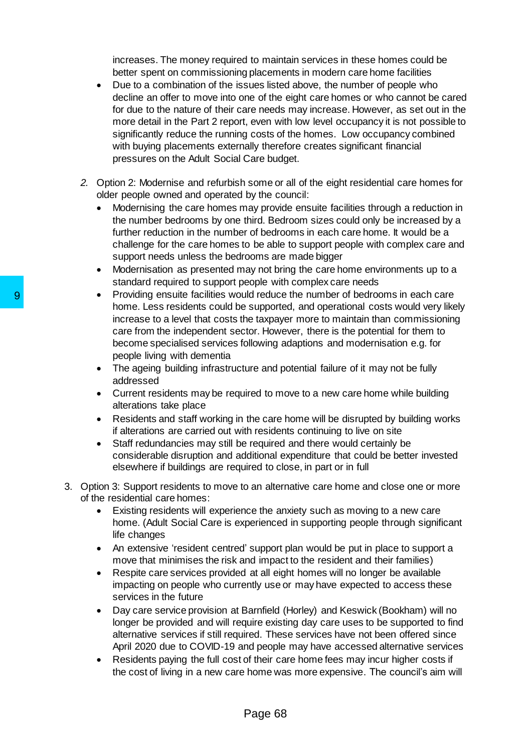increases. The money required to maintain services in these homes could be better spent on commissioning placements in modern care home facilities

- Due to a combination of the issues listed above, the number of people who decline an offer to move into one of the eight care homes or who cannot be cared for due to the nature of their care needs may increase. However, as set out in the more detail in the Part 2 report, even with low level occupancy it is not possible to significantly reduce the running costs of the homes. Low occupancy combined with buying placements externally therefore creates significant financial pressures on the Adult Social Care budget.
- *2.* Option 2: Modernise and refurbish some or all of the eight residential care homes for older people owned and operated by the council:
	- Modernising the care homes may provide ensuite facilities through a reduction in the number bedrooms by one third. Bedroom sizes could only be increased by a further reduction in the number of bedrooms in each care home. It would be a challenge for the care homes to be able to support people with complex care and support needs unless the bedrooms are made bigger
	- Modernisation as presented may not bring the care home environments up to a standard required to support people with complex care needs
- Providing ensuite facilities would reduce the number of bedrooms in each care home. Less residents could be supported, and operational costs would very likely increase to a level that costs the taxpayer more to maintain than commissioning care from the independent sector. However, there is the potential for them to become specialised services following adaptions and modernisation e.g. for people living with dementia 9<br>
Providing ensuite facilities would reduce<br>
home. Less residents could be supporte<br>
increase to a level that costs the taxpay<br>
care from the independent sector. Howe<br>
become specialised services following a<br>
addressed<br>
C
	- The ageing building infrastructure and potential failure of it may not be fully addressed
	- Current residents may be required to move to a new care home while building alterations take place
	- Residents and staff working in the care home will be disrupted by building works if alterations are carried out with residents continuing to live on site
	- Staff redundancies may still be required and there would certainly be considerable disruption and additional expenditure that could be better invested elsewhere if buildings are required to close, in part or in full
	- 3. Option 3: Support residents to move to an alternative care home and close one or more of the residential care homes:
		- Existing residents will experience the anxiety such as moving to a new care home. (Adult Social Care is experienced in supporting people through significant life changes
		- An extensive 'resident centred' support plan would be put in place to support a move that minimises the risk and impact to the resident and their families)
		- Respite care services provided at all eight homes will no longer be available impacting on people who currently use or may have expected to access these services in the future
		- Day care service provision at Barnfield (Horley) and Keswick (Bookham) will no longer be provided and will require existing day care uses to be supported to find alternative services if still required. These services have not been offered since April 2020 due to COVID-19 and people may have accessed alternative services
		- Residents paying the full cost of their care home fees may incur higher costs if the cost of living in a new care home was more expensive. The council's aim will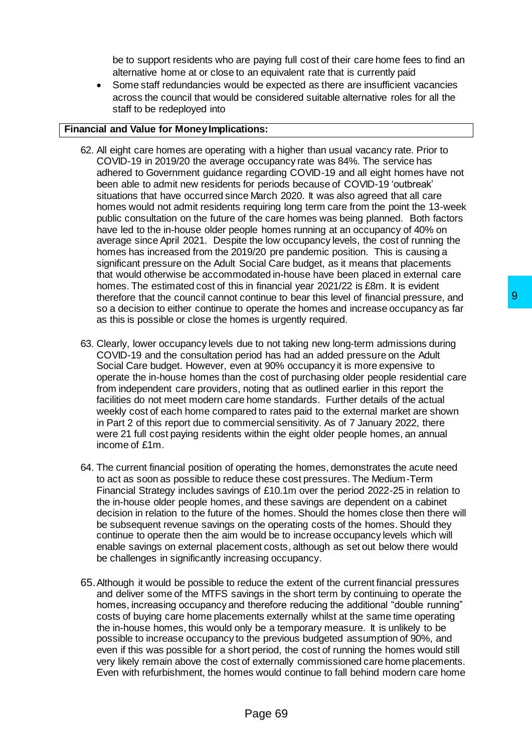be to support residents who are paying full cost of their care home fees to find an alternative home at or close to an equivalent rate that is currently paid

 Some staff redundancies would be expected as there are insufficient vacancies across the council that would be considered suitable alternative roles for all the staff to be redeployed into

# **Financial and Value for Money Implications:**

- 62. All eight care homes are operating with a higher than usual vacancy rate. Prior to COVID-19 in 2019/20 the average occupancy rate was 84%. The service has adhered to Government guidance regarding COVID-19 and all eight homes have not been able to admit new residents for periods because of COVID-19 'outbreak' situations that have occurred since March 2020. It was also agreed that all care homes would not admit residents requiring long term care from the point the 13-week public consultation on the future of the care homes was being planned. Both factors have led to the in-house older people homes running at an occupancy of 40% on average since April 2021. Despite the low occupancy levels, the cost of running the homes has increased from the 2019/20 pre pandemic position. This is causing a significant pressure on the Adult Social Care budget, as it means that placements that would otherwise be accommodated in-house have been placed in external care homes. The estimated cost of this in financial year 2021/22 is £8m. It is evident therefore that the council cannot continue to bear this level of financial pressure, and so a decision to either continue to operate the homes and increase occupancy as far as this is possible or close the homes is urgently required.
- 63. Clearly, lower occupancy levels due to not taking new long-term admissions during COVID-19 and the consultation period has had an added pressure on the Adult Social Care budget. However, even at 90% occupancy it is more expensive to operate the in-house homes than the cost of purchasing older people residential care from independent care providers, noting that as outlined earlier in this report the facilities do not meet modern care home standards. Further details of the actual weekly cost of each home compared to rates paid to the external market are shown in Part 2 of this report due to commercial sensitivity. As of 7 January 2022, there were 21 full cost paying residents within the eight older people homes, an annual income of £1m. ontinue to bear this level of financial pressure, and<br>operate the homes and increase occupancy as far<br>nes is urgently required.<br>Le to not taking new long-term admissions during<br>incided has had an added pressure on the Adul
- 64. The current financial position of operating the homes, demonstrates the acute need to act as soon as possible to reduce these cost pressures. The Medium-Term Financial Strategy includes savings of £10.1m over the period 2022-25 in relation to the in-house older people homes, and these savings are dependent on a cabinet decision in relation to the future of the homes. Should the homes close then there will be subsequent revenue savings on the operating costs of the homes. Should they continue to operate then the aim would be to increase occupancy levels which will enable savings on external placement costs, although as set out below there would be challenges in significantly increasing occupancy.
- 65.Although it would be possible to reduce the extent of the current financial pressures and deliver some of the MTFS savings in the short term by continuing to operate the homes, increasing occupancy and therefore reducing the additional "double running" costs of buying care home placements externally whilst at the same time operating the in-house homes, this would only be a temporary measure. It is unlikely to be possible to increase occupancy to the previous budgeted assumption of 90%, and even if this was possible for a short period, the cost of running the homes would still very likely remain above the cost of externally commissioned care home placements. Even with refurbishment, the homes would continue to fall behind modern care home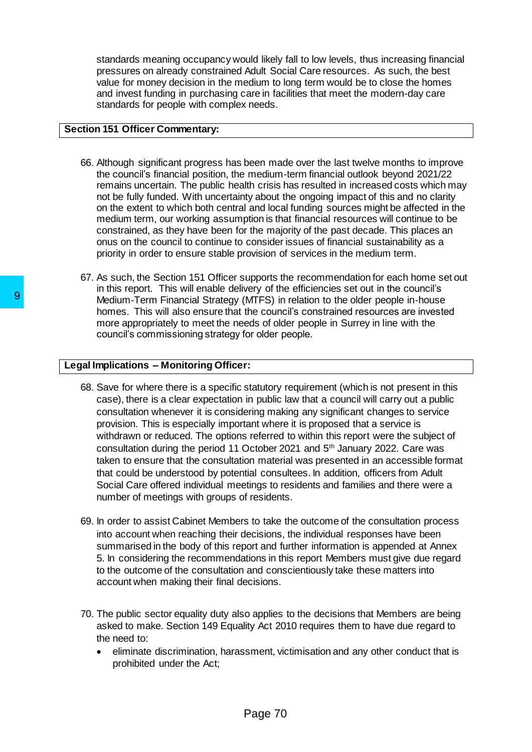standards meaning occupancy would likely fall to low levels, thus increasing financial pressures on already constrained Adult Social Care resources. As such, the best value for money decision in the medium to long term would be to close the homes and invest funding in purchasing care in facilities that meet the modern-day care standards for people with complex needs.

### **Section 151 Officer Commentary:**

- 66. Although significant progress has been made over the last twelve months to improve the council's financial position, the medium-term financial outlook beyond 2021/22 remains uncertain. The public health crisis has resulted in increased costs which may not be fully funded. With uncertainty about the ongoing impact of this and no clarity on the extent to which both central and local funding sources might be affected in the medium term, our working assumption is that financial resources will continue to be constrained, as they have been for the majority of the past decade. This places an onus on the council to continue to consider issues of financial sustainability as a priority in order to ensure stable provision of services in the medium term.
- 67. As such, the Section 151 Officer supports the recommendation for each home set out in this report. This will enable delivery of the efficiencies set out in the council's Medium-Term Financial Strategy (MTFS) in relation to the older people in-house homes. This will also ensure that the council's constrained resources are invested more appropriately to meet the needs of older people in Surrey in line with the council's commissioning strategy for older people.

# **Legal Implications – Monitoring Officer:**

- 68. Save for where there is a specific statutory requirement (which is not present in this case), there is a clear expectation in public law that a council will carry out a public consultation whenever it is considering making any significant changes to service provision. This is especially important where it is proposed that a service is withdrawn or reduced. The options referred to within this report were the subject of consultation during the period 11 October 2021 and 5<sup>th</sup> January 2022. Care was taken to ensure that the consultation material was presented in an accessible format that could be understood by potential consultees. In addition, officers from Adult Social Care offered individual meetings to residents and families and there were a number of meetings with groups of residents. Medium-Term Financial Strategy (MTFS) in<br>
homes. This will also ensure that the counce<br>
more appropriately to meet the needs of old<br>
council's commissioning strategy for older p<br> **Legal Implications – Monitoring Officer:**<br>
	- 69. In order to assist Cabinet Members to take the outcome of the consultation process into account when reaching their decisions, the individual responses have been summarised in the body of this report and further information is appended at Annex 5. In considering the recommendations in this report Members must give due regard to the outcome of the consultation and conscientiously take these matters into account when making their final decisions.
	- 70. The public sector equality duty also applies to the decisions that Members are being asked to make. Section 149 Equality Act 2010 requires them to have due regard to the need to:
		- eliminate discrimination, harassment, victimisation and any other conduct that is prohibited under the Act;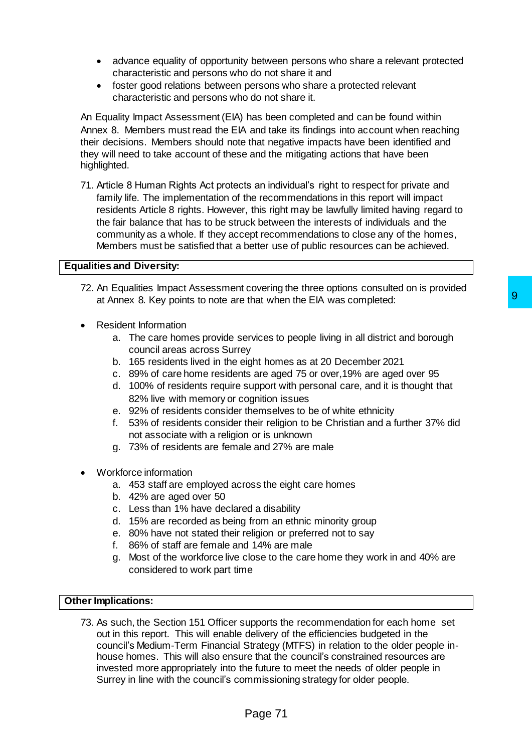- advance equality of opportunity between persons who share a relevant protected characteristic and persons who do not share it and
- foster good relations between persons who share a protected relevant characteristic and persons who do not share it.

An Equality Impact Assessment (EIA) has been completed and can be found within Annex 8. Members must read the EIA and take its findings into account when reaching their decisions. Members should note that negative impacts have been identified and they will need to take account of these and the mitigating actions that have been highlighted.

71. Article 8 Human Rights Act protects an individual's right to respect for private and family life. The implementation of the recommendations in this report will impact residents Article 8 rights. However, this right may be lawfully limited having regard to the fair balance that has to be struck between the interests of individuals and the community as a whole. If they accept recommendations to close any of the homes, Members must be satisfied that a better use of public resources can be achieved.

### **Equalities and Diversity:**

- 72. An Equalities Impact Assessment covering the three options consulted on is provided at Annex 8*.* Key points to note are that when the EIA was completed:
- Resident Information
	- a. The care homes provide services to people living in all district and borough council areas across Surrey
	- b. 165 residents lived in the eight homes as at 20 December 2021
	- c. 89% of care home residents are aged 75 or over,19% are aged over 95
	- d. 100% of residents require support with personal care, and it is thought that 82% live with memory or cognition issues
	- e. 92% of residents consider themselves to be of white ethnicity
	- f. 53% of residents consider their religion to be Christian and a further 37% did not associate with a religion or is unknown
	- g. 73% of residents are female and 27% are male
- Workforce information
	- a. 453 staff are employed across the eight care homes
	- b. 42% are aged over 50
	- c. Less than 1% have declared a disability
	- d. 15% are recorded as being from an ethnic minority group
	- e. 80% have not stated their religion or preferred not to say
	- f. 86% of staff are female and 14% are male
	- g. Most of the workforce live close to the care home they work in and 40% are considered to work part time

## **Other Implications:**

73. As such, the Section 151 Officer supports the recommendation for each home set out in this report. This will enable delivery of the efficiencies budgeted in the council's Medium-Term Financial Strategy (MTFS) in relation to the older people inhouse homes. This will also ensure that the council's constrained resources are invested more appropriately into the future to meet the needs of older people in Surrey in line with the council's commissioning strategy for older people. that when the EIA was completed:<br>
that when the EIA was completed:<br>
that when the EIA was completed:<br>
that when the PIA was completed:<br>
they ight homes as at 20 December 2021<br>
is are aged 75 or over, 19% are aged over 95<br>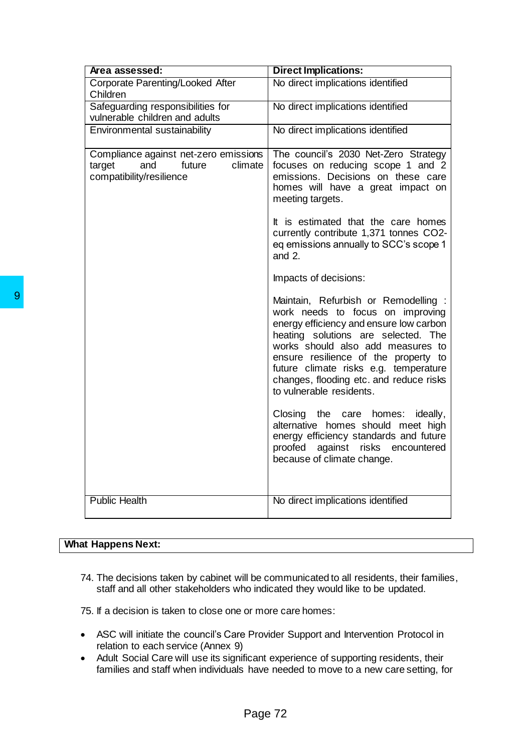| Area assessed:                                                                                                                                                            | <b>Direct Implications:</b>                                                                                                                                                                                                                                                                                                                             |  |  |
|---------------------------------------------------------------------------------------------------------------------------------------------------------------------------|---------------------------------------------------------------------------------------------------------------------------------------------------------------------------------------------------------------------------------------------------------------------------------------------------------------------------------------------------------|--|--|
| Corporate Parenting/Looked After<br>Children                                                                                                                              | No direct implications identified                                                                                                                                                                                                                                                                                                                       |  |  |
| Safeguarding responsibilities for<br>vulnerable children and adults                                                                                                       | No direct implications identified                                                                                                                                                                                                                                                                                                                       |  |  |
| Environmental sustainability                                                                                                                                              | No direct implications identified                                                                                                                                                                                                                                                                                                                       |  |  |
| Compliance against net-zero emissions<br>and<br>climate<br>target<br>future<br>compatibility/resilience                                                                   | The council's 2030 Net-Zero Strategy<br>focuses on reducing scope 1 and 2<br>emissions. Decisions on these care<br>homes will have a great impact on<br>meeting targets.                                                                                                                                                                                |  |  |
|                                                                                                                                                                           | It is estimated that the care homes<br>currently contribute 1,371 tonnes CO2-<br>eq emissions annually to SCC's scope 1<br>and $2$ .                                                                                                                                                                                                                    |  |  |
|                                                                                                                                                                           | Impacts of decisions:                                                                                                                                                                                                                                                                                                                                   |  |  |
|                                                                                                                                                                           | Maintain, Refurbish or Remodelling :<br>work needs to focus on improving<br>energy efficiency and ensure low carbon<br>heating solutions are selected. The<br>works should also add measures to<br>ensure resilience of the property to<br>future climate risks e.g. temperature<br>changes, flooding etc. and reduce risks<br>to vulnerable residents. |  |  |
|                                                                                                                                                                           | Closing the care homes:<br>ideally,<br>alternative homes should meet high<br>energy efficiency standards and future<br>proofed against risks encountered<br>because of climate change.                                                                                                                                                                  |  |  |
| <b>Public Health</b>                                                                                                                                                      | No direct implications identified                                                                                                                                                                                                                                                                                                                       |  |  |
| <b>What Happens Next:</b>                                                                                                                                                 |                                                                                                                                                                                                                                                                                                                                                         |  |  |
| 74. The decisions taken by cabinet will be communicated to all residents, their families<br>staff and all other stakeholders who indicated they would like to be updated. |                                                                                                                                                                                                                                                                                                                                                         |  |  |
| 75. If a decision is taken to close one or more care homes:                                                                                                               |                                                                                                                                                                                                                                                                                                                                                         |  |  |
| relation to each service (Annex 9)<br>٠                                                                                                                                   | ASC will initiate the council's Care Provider Support and Intervention Protocol in<br>Adult Social Care will use its significant experience of supporting residents, their<br>families and staff when individuals have needed to move to a new care setting, for                                                                                        |  |  |
| Page 72                                                                                                                                                                   |                                                                                                                                                                                                                                                                                                                                                         |  |  |

# **What Happens Next:**

- ASC will initiate the council's Care Provider Support and Intervention Protocol in relation to each service (Annex 9)
- Adult Social Care will use its significant experience of supporting residents, their families and staff when individuals have needed to move to a new care setting, for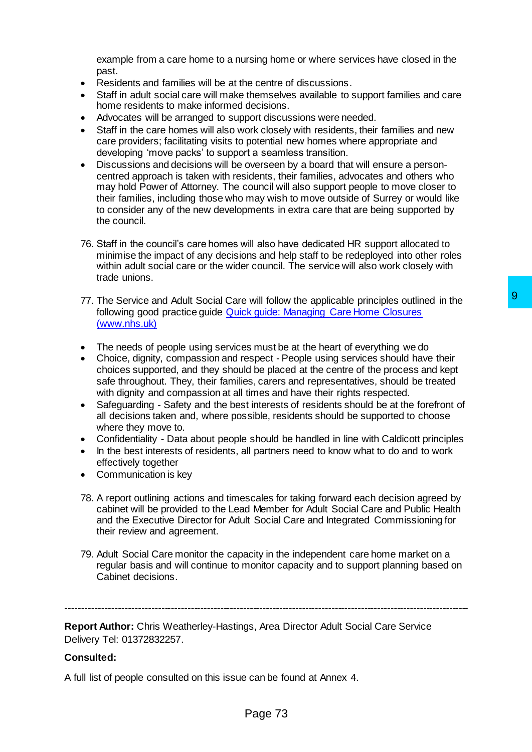example from a care home to a nursing home or where services have closed in the past.

- Residents and families will be at the centre of discussions.
- Staff in adult social care will make themselves available to support families and care home residents to make informed decisions.
- Advocates will be arranged to support discussions were needed.
- Staff in the care homes will also work closely with residents, their families and new care providers; facilitating visits to potential new homes where appropriate and developing 'move packs' to support a seamless transition.
- Discussions and decisions will be overseen by a board that will ensure a personcentred approach is taken with residents, their families, advocates and others who may hold Power of Attorney. The council will also support people to move closer to their families, including those who may wish to move outside of Surrey or would like to consider any of the new developments in extra care that are being supported by the council.
- 76. Staff in the council's care homes will also have dedicated HR support allocated to minimise the impact of any decisions and help staff to be redeployed into other roles within adult social care or the wider council. The service will also work closely with trade unions.
- 77. The Service and Adult Social Care will follow the applicable principles outlined in the following good practice guide [Quick guide: Managing Care Home Closures](https://www.nhs.uk/NHSEngland/keogh-review/Documents/quick-guides/1577_QuickGuide-CareHomes_9.pdf)  [\(www.nhs.uk\)](https://www.nhs.uk/NHSEngland/keogh-review/Documents/quick-guides/1577_QuickGuide-CareHomes_9.pdf)
- The needs of people using services must be at the heart of everything we do
- Choice, dignity, compassion and respect People using services should have their choices supported, and they should be placed at the centre of the process and kept safe throughout. They, their families, carers and representatives, should be treated with dignity and compassion at all times and have their rights respected. will follow the applicable principles outlined in the<br>
Social control of the section of the section of the section of the section of the section of the process and sepect - People using services should have their<br>
se must
- Safeguarding Safety and the best interests of residents should be at the forefront of all decisions taken and, where possible, residents should be supported to choose where they move to.
- Confidentiality Data about people should be handled in line with Caldicott principles
- In the best interests of residents, all partners need to know what to do and to work effectively together
- Communication is key
- 78. A report outlining actions and timescales for taking forward each decision agreed by cabinet will be provided to the Lead Member for Adult Social Care and Public Health and the Executive Director for Adult Social Care and Integrated Commissioning for their review and agreement.
- 79. Adult Social Care monitor the capacity in the independent care home market on a regular basis and will continue to monitor capacity and to support planning based on Cabinet decisions.

---------------------------------------------------------------------------------------------------------------------------

**Report Author:** Chris Weatherley-Hastings, Area Director Adult Social Care Service Delivery Tel: 01372832257.

## **Consulted:**

A full list of people consulted on this issue can be found at Annex 4.